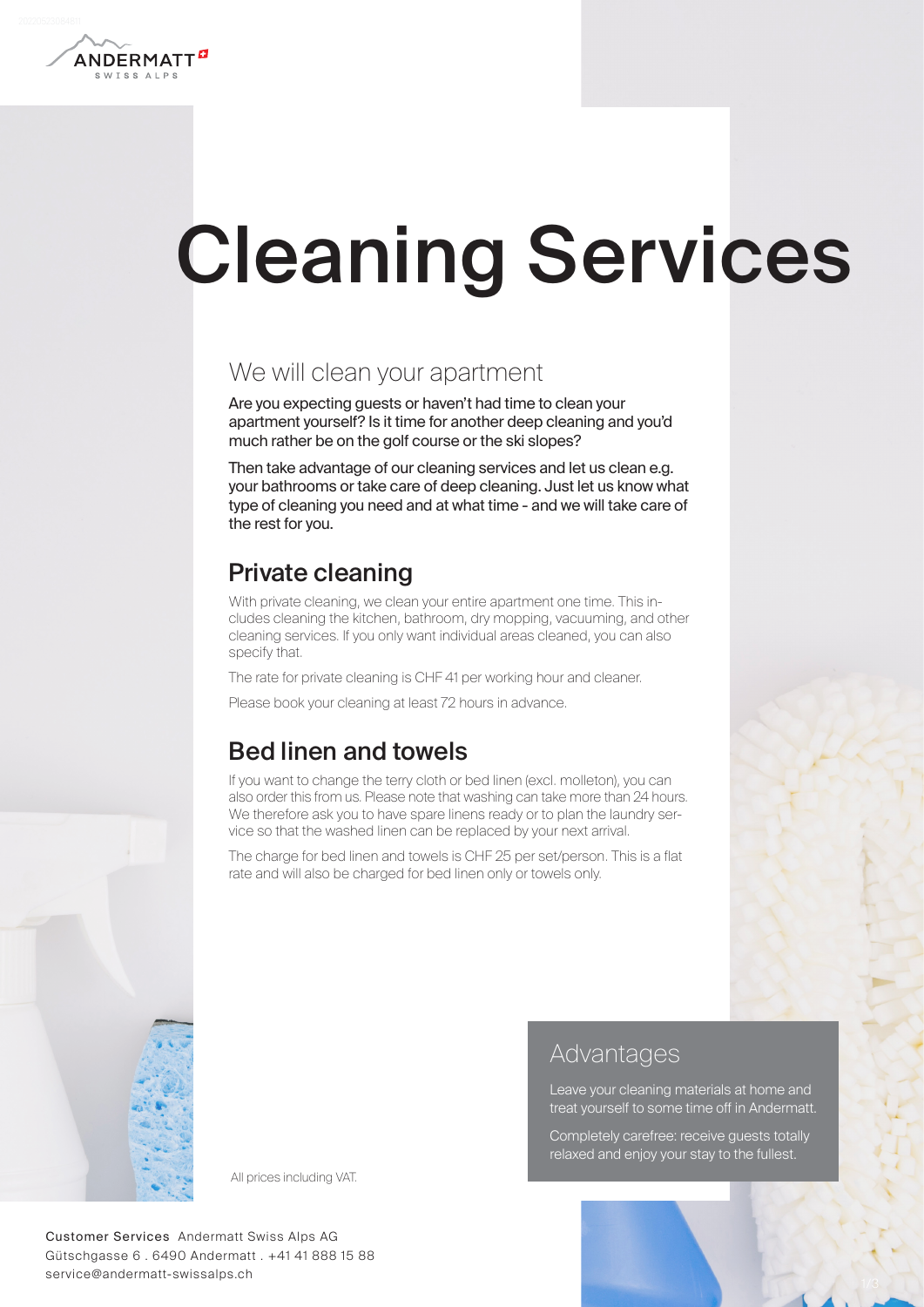

# Cleaning Services

## We will clean your apartment

Are you expecting guests or haven't had time to clean your apartment yourself? Is it time for another deep cleaning and you'd much rather be on the golf course or the ski slopes?

Then take advantage of our cleaning services and let us clean e.g. your bathrooms or take care of deep cleaning. Just let us know what type of cleaning you need and at what time - and we will take care of the rest for you.

## Private cleaning

With private cleaning, we clean your entire apartment one time. This includes cleaning the kitchen, bathroom, dry mopping, vacuuming, and other cleaning services. If you only want individual areas cleaned, you can also specify that.

The rate for private cleaning is CHF 41 per working hour and cleaner.

Please book your cleaning at least 72 hours in advance.

## Bed linen and towels

If you want to change the terry cloth or bed linen (excl. molleton), you can also order this from us. Please note that washing can take more than 24 hours. We therefore ask you to have spare linens ready or to plan the laundry service so that the washed linen can be replaced by your next arrival.

The charge for bed linen and towels is CHF 25 per set/person. This is a flat rate and will also be charged for bed linen only or towels only.



Advantages

Leave your cleaning materials at home and treat yourself to some time off in Andermatt.

Completely carefree: receive guests totally relaxed and enjoy your stay to the fullest.

All prices including VAT.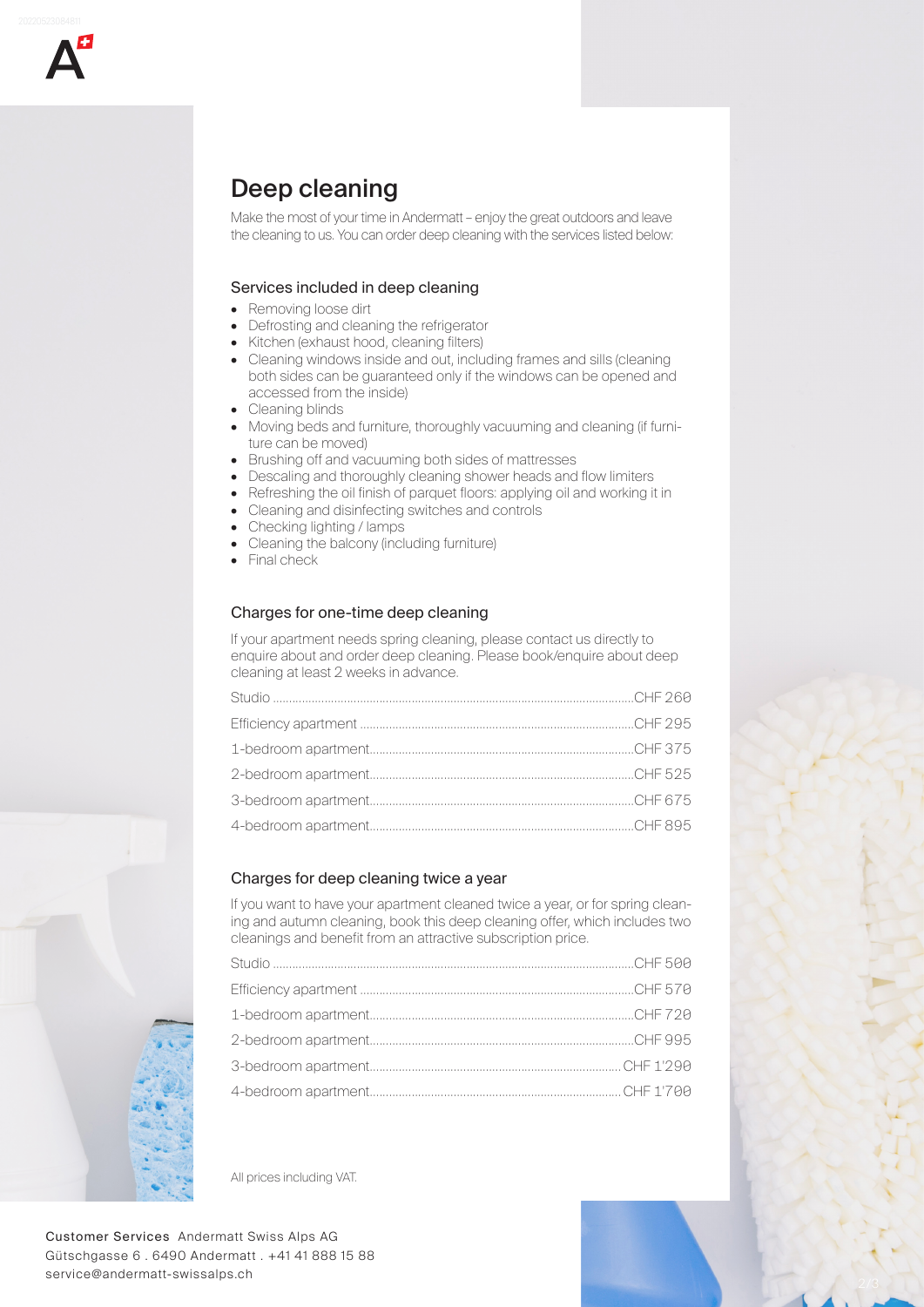

## Deep cleaning

Make the most of your time in Andermatt – enjoy the great outdoors and leave the cleaning to us. You can order deep cleaning with the services listed below:

#### Services included in deep cleaning

- Removing loose dirt
- Defrosting and cleaning the refrigerator
- Kitchen (exhaust hood, cleaning filters)
- Cleaning windows inside and out, including frames and sills (cleaning both sides can be guaranteed only if the windows can be opened and accessed from the inside)
- Cleaning blinds
- Moving beds and furniture, thoroughly vacuuming and cleaning (if furniture can be moved)
- Brushing off and vacuuming both sides of mattresses
- Descaling and thoroughly cleaning shower heads and flow limiters
- Refreshing the oil finish of parquet floors: applying oil and working it in
- Cleaning and disinfecting switches and controls
- Checking lighting / lamps
- Cleaning the balcony (including furniture)
- Final check

#### Charges for one-time deep cleaning

If your apartment needs spring cleaning, please contact us directly to enquire about and order deep cleaning. Please book/enquire about deep cleaning at least 2 weeks in advance.

#### Charges for deep cleaning twice a year

If you want to have your apartment cleaned twice a year, or for spring cleaning and autumn cleaning, book this deep cleaning offer, which includes two cleanings and benefit from an attractive subscription price.

All prices including VAT.